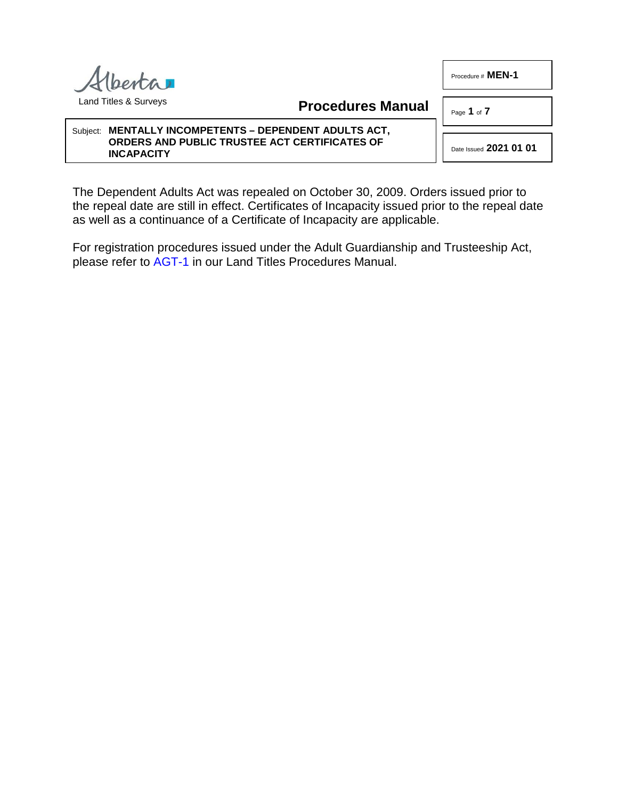Procedure # **MEN-1** 



**Procedures Manual**

Page **1** of **7**

#### Subject: **MENTALLY INCOMPETENTS – DEPENDENT ADULTS ACT, ORDERS AND PUBLIC TRUSTEE ACT CERTIFICATES OF INCAPACITY**

Date Issued **2021 01 01**

The Dependent Adults Act was repealed on October 30, 2009. Orders issued prior to the repeal date are still in effect. Certificates of Incapacity issued prior to the repeal date as well as a continuance of a Certificate of Incapacity are applicable.

For registration procedures issued under the Adult Guardianship and Trusteeship Act, please refer to [AGT-1](http://www.servicealberta.ca/pdf/ltmanual/AGT-1.pdf) in our Land Titles Procedures Manual.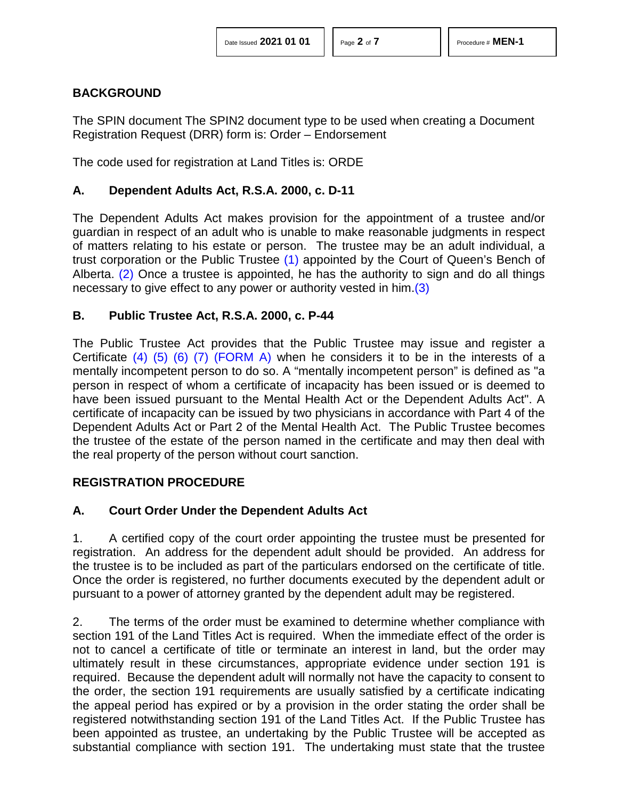# **BACKGROUND**

The SPIN document The SPIN2 document type to be used when creating a Document Registration Request (DRR) form is: Order – Endorsement

The code used for registration at Land Titles is: ORDE

# **A. Dependent Adults Act, R.S.A. 2000, c. D-11**

<span id="page-1-0"></span>The Dependent Adults Act makes provision for the appointment of a trustee and/or guardian in respect of an adult who is unable to make reasonable judgments in respect of matters relating to his estate or person. The trustee may be an adult individual, a trust corporation or the Public Trustee [\(1\)](#page-6-0) appointed by the Court of Queen's Bench of Alberta. [\(2\)](#page-6-1) Once a trustee is appointed, he has the authority to sign and do all things necessary to give effect to any power or authority vested in him[.\(3\)](#page-6-2)

#### <span id="page-1-2"></span><span id="page-1-1"></span>**B. Public Trustee Act, R.S.A. 2000, c. P-44**

<span id="page-1-6"></span><span id="page-1-5"></span><span id="page-1-4"></span><span id="page-1-3"></span>The Public Trustee Act provides that the Public Trustee may issue and register a Certificate  $(4)$   $(5)$   $(6)$   $(7)$  [\(FORM A\)](http://www.servicealberta.ca/pdf/ltmanual/MEN-1-FORMA.pdf) when he considers it to be in the interests of a mentally incompetent person to do so. A "mentally incompetent person" is defined as "a person in respect of whom a certificate of incapacity has been issued or is deemed to have been issued pursuant to the Mental Health Act or the Dependent Adults Act". A certificate of incapacity can be issued by two physicians in accordance with Part 4 of the Dependent Adults Act or Part 2 of the Mental Health Act. The Public Trustee becomes the trustee of the estate of the person named in the certificate and may then deal with the real property of the person without court sanction.

# **REGISTRATION PROCEDURE**

# **A. Court Order Under the Dependent Adults Act**

1. A certified copy of the court order appointing the trustee must be presented for registration. An address for the dependent adult should be provided. An address for the trustee is to be included as part of the particulars endorsed on the certificate of title. Once the order is registered, no further documents executed by the dependent adult or pursuant to a power of attorney granted by the dependent adult may be registered.

2. The terms of the order must be examined to determine whether compliance with section 191 of the Land Titles Act is required. When the immediate effect of the order is not to cancel a certificate of title or terminate an interest in land, but the order may ultimately result in these circumstances, appropriate evidence under section 191 is required. Because the dependent adult will normally not have the capacity to consent to the order, the section 191 requirements are usually satisfied by a certificate indicating the appeal period has expired or by a provision in the order stating the order shall be registered notwithstanding section 191 of the Land Titles Act. If the Public Trustee has been appointed as trustee, an undertaking by the Public Trustee will be accepted as substantial compliance with section 191. The undertaking must state that the trustee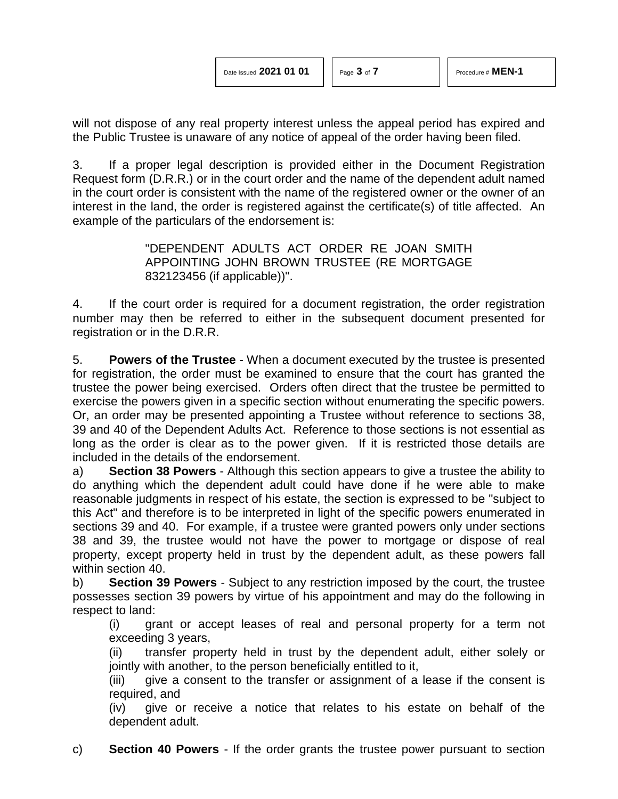will not dispose of any real property interest unless the appeal period has expired and the Public Trustee is unaware of any notice of appeal of the order having been filed.

3. If a proper legal description is provided either in the Document Registration Request form (D.R.R.) or in the court order and the name of the dependent adult named in the court order is consistent with the name of the registered owner or the owner of an interest in the land, the order is registered against the certificate(s) of title affected. An example of the particulars of the endorsement is:

> "DEPENDENT ADULTS ACT ORDER RE JOAN SMITH APPOINTING JOHN BROWN TRUSTEE (RE MORTGAGE 832123456 (if applicable))".

4. If the court order is required for a document registration, the order registration number may then be referred to either in the subsequent document presented for registration or in the D.R.R.

5. **Powers of the Trustee** - When a document executed by the trustee is presented for registration, the order must be examined to ensure that the court has granted the trustee the power being exercised. Orders often direct that the trustee be permitted to exercise the powers given in a specific section without enumerating the specific powers. Or, an order may be presented appointing a Trustee without reference to sections 38, 39 and 40 of the Dependent Adults Act. Reference to those sections is not essential as long as the order is clear as to the power given. If it is restricted those details are included in the details of the endorsement.

a) **Section 38 Powers** - Although this section appears to give a trustee the ability to do anything which the dependent adult could have done if he were able to make reasonable judgments in respect of his estate, the section is expressed to be "subject to this Act" and therefore is to be interpreted in light of the specific powers enumerated in sections 39 and 40. For example, if a trustee were granted powers only under sections 38 and 39, the trustee would not have the power to mortgage or dispose of real property, except property held in trust by the dependent adult, as these powers fall within section 40.

b) **Section 39 Powers** - Subject to any restriction imposed by the court, the trustee possesses section 39 powers by virtue of his appointment and may do the following in respect to land:

(i) grant or accept leases of real and personal property for a term not exceeding 3 years,

(ii) transfer property held in trust by the dependent adult, either solely or jointly with another, to the person beneficially entitled to it,

(iii) give a consent to the transfer or assignment of a lease if the consent is required, and

(iv) give or receive a notice that relates to his estate on behalf of the dependent adult.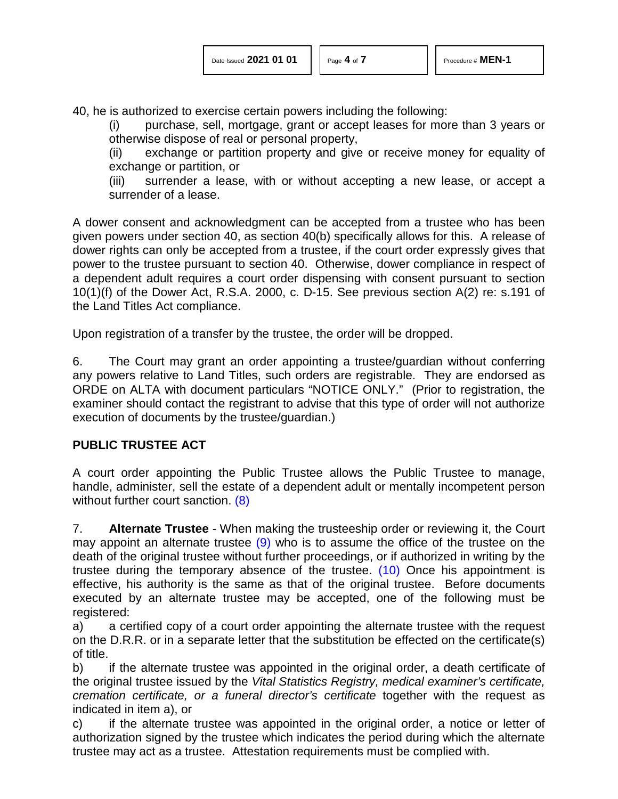40, he is authorized to exercise certain powers including the following:

(i) purchase, sell, mortgage, grant or accept leases for more than 3 years or otherwise dispose of real or personal property,

(ii) exchange or partition property and give or receive money for equality of exchange or partition, or

(iii) surrender a lease, with or without accepting a new lease, or accept a surrender of a lease.

A dower consent and acknowledgment can be accepted from a trustee who has been given powers under section 40, as section 40(b) specifically allows for this. A release of dower rights can only be accepted from a trustee, if the court order expressly gives that power to the trustee pursuant to section 40. Otherwise, dower compliance in respect of a dependent adult requires a court order dispensing with consent pursuant to section 10(1)(f) of the Dower Act, R.S.A. 2000, c. D-15. See previous section A(2) re: s.191 of the Land Titles Act compliance.

Upon registration of a transfer by the trustee, the order will be dropped.

6. The Court may grant an order appointing a trustee/guardian without conferring any powers relative to Land Titles, such orders are registrable. They are endorsed as ORDE on ALTA with document particulars "NOTICE ONLY." (Prior to registration, the examiner should contact the registrant to advise that this type of order will not authorize execution of documents by the trustee/guardian.)

#### **PUBLIC TRUSTEE ACT**

<span id="page-3-0"></span>A court order appointing the Public Trustee allows the Public Trustee to manage, handle, administer, sell the estate of a dependent adult or mentally incompetent person without further court sanction. [\(8\)](#page-6-7)

<span id="page-3-2"></span><span id="page-3-1"></span>7. **Alternate Trustee** - When making the trusteeship order or reviewing it, the Court may appoint an alternate trustee  $(9)$  who is to assume the office of the trustee on the death of the original trustee without further proceedings, or if authorized in writing by the trustee during the temporary absence of the trustee. [\(10\)](#page-6-9) Once his appointment is effective, his authority is the same as that of the original trustee. Before documents executed by an alternate trustee may be accepted, one of the following must be registered:

a) a certified copy of a court order appointing the alternate trustee with the request on the D.R.R. or in a separate letter that the substitution be effected on the certificate(s) of title.

b) if the alternate trustee was appointed in the original order, a death certificate of the original trustee issued by the *Vital Statistics Registry, medical examiner's certificate, cremation certificate, or a funeral director's certificate* together with the request as indicated in item a), or

c) if the alternate trustee was appointed in the original order, a notice or letter of authorization signed by the trustee which indicates the period during which the alternate trustee may act as a trustee. Attestation requirements must be complied with.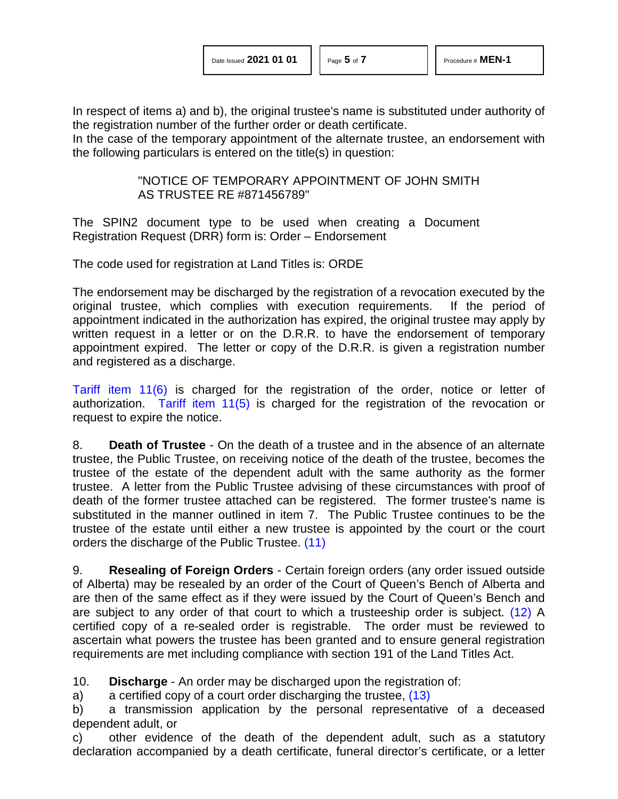In respect of items a) and b), the original trustee's name is substituted under authority of the registration number of the further order or death certificate.

In the case of the temporary appointment of the alternate trustee, an endorsement with the following particulars is entered on the title(s) in question:

#### "NOTICE OF TEMPORARY APPOINTMENT OF JOHN SMITH AS TRUSTEE RE #871456789"

The SPIN2 document type to be used when creating a Document Registration Request (DRR) form is: Order – Endorsement

The code used for registration at Land Titles is: ORDE

The endorsement may be discharged by the registration of a revocation executed by the original trustee, which complies with execution requirements. If the period of appointment indicated in the authorization has expired, the original trustee may apply by written request in a letter or on the D.R.R. to have the endorsement of temporary appointment expired. The letter or copy of the D.R.R. is given a registration number and registered as a discharge.

[Tariff item 11\(6\)](http://www.servicealberta.ca/pdf/ltmanual/APPENDIXI.pdf) is charged for the registration of the order, notice or letter of authorization. Tariff item  $11(5)$  is charged for the registration of the revocation or request to expire the notice.

8. **Death of Trustee** - On the death of a trustee and in the absence of an alternate trustee, the Public Trustee, on receiving notice of the death of the trustee, becomes the trustee of the estate of the dependent adult with the same authority as the former trustee. A letter from the Public Trustee advising of these circumstances with proof of death of the former trustee attached can be registered. The former trustee's name is substituted in the manner outlined in item 7. The Public Trustee continues to be the trustee of the estate until either a new trustee is appointed by the court or the court orders the discharge of the Public Trustee. [\(11\)](#page-6-10)

<span id="page-4-1"></span><span id="page-4-0"></span>9. **Resealing of Foreign Orders** - Certain foreign orders (any order issued outside of Alberta) may be resealed by an order of the Court of Queen's Bench of Alberta and are then of the same effect as if they were issued by the Court of Queen's Bench and are subject to any order of that court to which a trusteeship order is subject. [\(12\)](#page-6-11) A certified copy of a re-sealed order is registrable. The order must be reviewed to ascertain what powers the trustee has been granted and to ensure general registration requirements are met including compliance with section 191 of the Land Titles Act.

10. **Discharge** - An order may be discharged upon the registration of:

<span id="page-4-2"></span>a) a certified copy of a court order discharging the trustee, [\(13\)](#page-6-12)

b) a transmission application by the personal representative of a deceased dependent adult, or

c) other evidence of the death of the dependent adult, such as a statutory declaration accompanied by a death certificate, funeral director's certificate, or a letter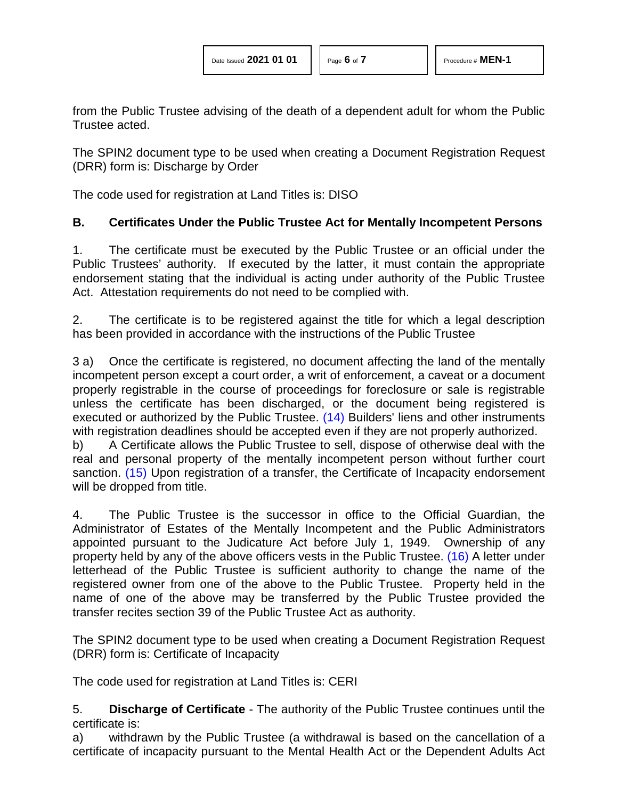from the Public Trustee advising of the death of a dependent adult for whom the Public Trustee acted.

The SPIN2 document type to be used when creating a Document Registration Request (DRR) form is: Discharge by Order

The code used for registration at Land Titles is: DISO

#### **B. Certificates Under the Public Trustee Act for Mentally Incompetent Persons**

1. The certificate must be executed by the Public Trustee or an official under the Public Trustees' authority. If executed by the latter, it must contain the appropriate endorsement stating that the individual is acting under authority of the Public Trustee Act. Attestation requirements do not need to be complied with.

2. The certificate is to be registered against the title for which a legal description has been provided in accordance with the instructions of the Public Trustee

3 a) Once the certificate is registered, no document affecting the land of the mentally incompetent person except a court order, a writ of enforcement, a caveat or a document properly registrable in the course of proceedings for foreclosure or sale is registrable unless the certificate has been discharged, or the document being registered is executed or authorized by the Public Trustee. [\(14\)](#page-6-13) Builders' liens and other instruments with registration deadlines should be accepted even if they are not properly authorized.

<span id="page-5-1"></span><span id="page-5-0"></span>b) A Certificate allows the Public Trustee to sell, dispose of otherwise deal with the real and personal property of the mentally incompetent person without further court sanction. [\(15\)](#page-6-14) Upon registration of a transfer, the Certificate of Incapacity endorsement will be dropped from title.

<span id="page-5-2"></span>4. The Public Trustee is the successor in office to the Official Guardian, the Administrator of Estates of the Mentally Incompetent and the Public Administrators appointed pursuant to the Judicature Act before July 1, 1949. Ownership of any property held by any of the above officers vests in the Public Trustee. [\(16\)](#page-6-15) A letter under letterhead of the Public Trustee is sufficient authority to change the name of the registered owner from one of the above to the Public Trustee. Property held in the name of one of the above may be transferred by the Public Trustee provided the transfer recites section 39 of the Public Trustee Act as authority.

The SPIN2 document type to be used when creating a Document Registration Request (DRR) form is: Certificate of Incapacity

The code used for registration at Land Titles is: CERI

5. **Discharge of Certificate** - The authority of the Public Trustee continues until the certificate is:

a) withdrawn by the Public Trustee (a withdrawal is based on the cancellation of a certificate of incapacity pursuant to the Mental Health Act or the Dependent Adults Act